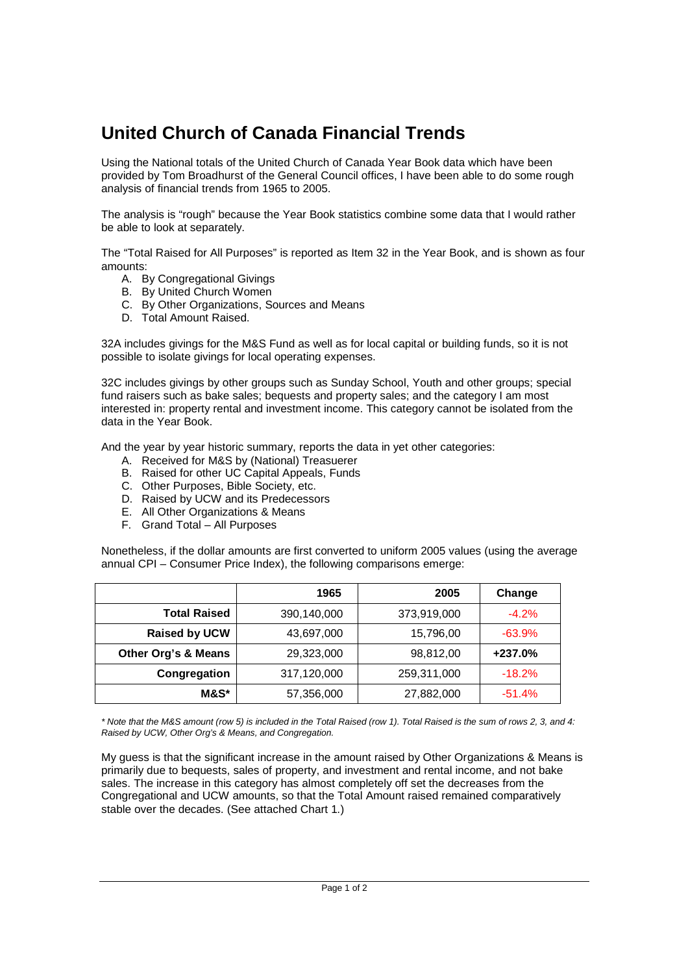## **United Church of Canada Financial Trends**

Using the National totals of the United Church of Canada Year Book data which have been provided by Tom Broadhurst of the General Council offices, I have been able to do some rough analysis of financial trends from 1965 to 2005.

The analysis is "rough" because the Year Book statistics combine some data that I would rather be able to look at separately.

The "Total Raised for All Purposes" is reported as Item 32 in the Year Book, and is shown as four amounts:

- A. By Congregational Givings
- B. By United Church Women
- C. By Other Organizations, Sources and Means
- D. Total Amount Raised.

32A includes givings for the M&S Fund as well as for local capital or building funds, so it is not possible to isolate givings for local operating expenses.

32C includes givings by other groups such as Sunday School, Youth and other groups; special fund raisers such as bake sales; bequests and property sales; and the category I am most interested in: property rental and investment income. This category cannot be isolated from the data in the Year Book.

And the year by year historic summary, reports the data in yet other categories:

- A. Received for M&S by (National) Treasuerer
- B. Raised for other UC Capital Appeals, Funds
- C. Other Purposes, Bible Society, etc.
- D. Raised by UCW and its Predecessors
- E. All Other Organizations & Means
- F. Grand Total All Purposes

Nonetheless, if the dollar amounts are first converted to uniform 2005 values (using the average annual CPI – Consumer Price Index), the following comparisons emerge:

|                      | 1965        | 2005        | Change   |
|----------------------|-------------|-------------|----------|
| <b>Total Raised</b>  | 390,140,000 | 373,919,000 | $-4.2%$  |
| <b>Raised by UCW</b> | 43,697,000  | 15,796,00   | $-63.9%$ |
| Other Org's & Means  | 29,323,000  | 98,812,00   | +237.0%  |
| Congregation         | 317,120,000 | 259,311,000 | $-18.2%$ |
| M&S*                 | 57,356,000  | 27,882,000  | $-51.4%$ |

*\* Note that the M&S amount (row 5) is included in the Total Raised (row 1). Total Raised is the sum of rows 2, 3, and 4: Raised by UCW, Other Org's & Means, and Congregation.*

My guess is that the significant increase in the amount raised by Other Organizations & Means is primarily due to bequests, sales of property, and investment and rental income, and not bake sales. The increase in this category has almost completely off set the decreases from the Congregational and UCW amounts, so that the Total Amount raised remained comparatively stable over the decades. (See attached Chart 1.)